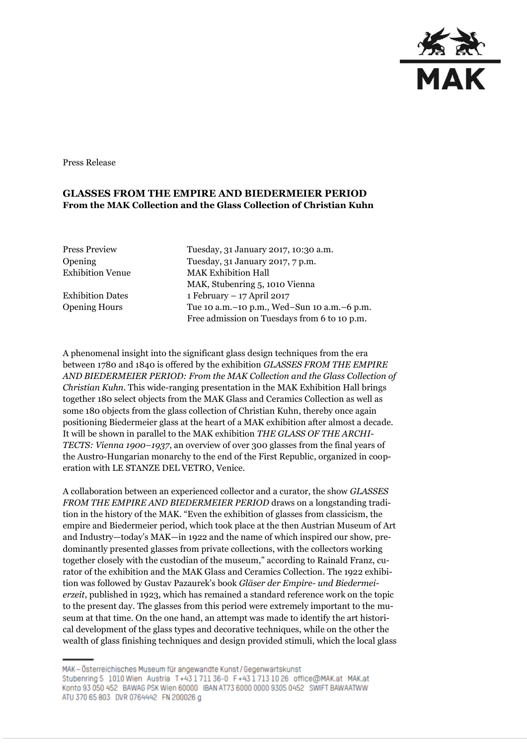

Press Release

## **GLASSES FROM THE EMPIRE AND BIEDERMEIER PERIOD From the MAK Collection and the Glass Collection of Christian Kuhn**

| <b>Press Preview</b>    |
|-------------------------|
| Opening                 |
| <b>Exhibition Venue</b> |

Tuesday, 31 January 2017, 10:30 a.m. Tuesday, 31 January 2017, 7 p.m. **MAK Exhibition Hall** MAK, Stubenring 5, 1010 Vienna Exhibition Dates 1 February – 17 April 2017 Opening Hours Tue 10 a.m.–10 p.m., Wed–Sun 10 a.m.–6 p.m. Free admission on Tuesdays from 6 to 10 p.m.

A phenomenal insight into the significant glass design techniques from the era between 1780 and 1840 is offered by the exhibition *GLASSES FROM THE EMPIRE AND BIEDERMEIER PERIOD: From the MAK Collection and the Glass Collection of Christian Kuhn*. This wide-ranging presentation in the MAK Exhibition Hall brings together 180 select objects from the MAK Glass and Ceramics Collection as well as some 180 objects from the glass collection of Christian Kuhn, thereby once again positioning Biedermeier glass at the heart of a MAK exhibition after almost a decade. It will be shown in parallel to the MAK exhibition *THE GLASS OF THE ARCHI-TECTS: Vienna 1900–1937*, an overview of over 300 glasses from the final years of the Austro-Hungarian monarchy to the end of the First Republic, organized in cooperation with LE STANZE DEL VETRO, Venice.

A collaboration between an experienced collector and a curator, the show *GLASSES FROM THE EMPIRE AND BIEDERMEIER PERIOD* draws on a longstanding tradition in the history of the MAK. "Even the exhibition of glasses from classicism, the empire and Biedermeier period, which took place at the then Austrian Museum of Art and Industry—today's MAK—in 1922 and the name of which inspired our show, predominantly presented glasses from private collections, with the collectors working together closely with the custodian of the museum," according to Rainald Franz, curator of the exhibition and the MAK Glass and Ceramics Collection. The 1922 exhibition was followed by Gustav Pazaurek's book *Gläser der Empire- und Biedermeierzeit*, published in 1923, which has remained a standard reference work on the topic to the present day. The glasses from this period were extremely important to the museum at that time. On the one hand, an attempt was made to identify the art historical development of the glass types and decorative techniques, while on the other the wealth of glass finishing techniques and design provided stimuli, which the local glass

MAK - Österreichisches Museum für angewandte Kunst/Gegenwartskunst Stubenring 5 1010 Wien Austria T+43 1 711 36-0 F+43 1 713 10 26 office@MAK.at MAK.at Konto 93 050 452 BAWAG PSK Wien 60000 IBAN AT73 6000 0000 9305 0452 SWIFT BAWAATWW ATU 370 65 803 DVR 0764442 FN 200026 g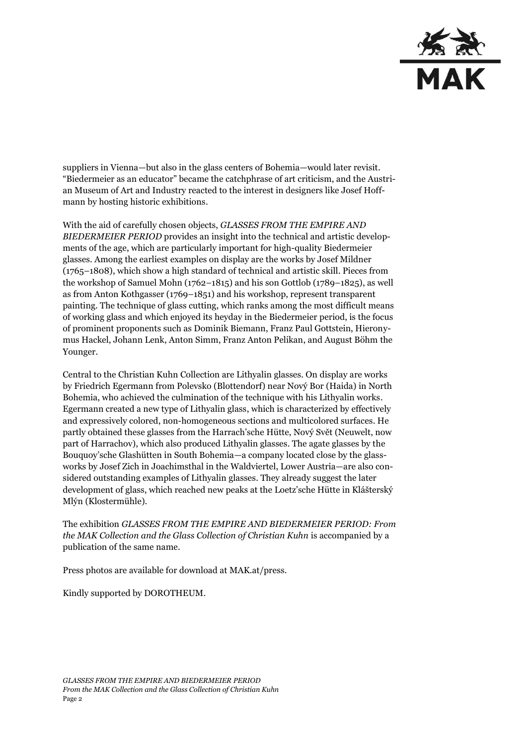

suppliers in Vienna—but also in the glass centers of Bohemia—would later revisit. "Biedermeier as an educator" became the catchphrase of art criticism, and the Austrian Museum of Art and Industry reacted to the interest in designers like Josef Hoffmann by hosting historic exhibitions.

With the aid of carefully chosen objects, *GLASSES FROM THE EMPIRE AND BIEDERMEIER PERIOD* provides an insight into the technical and artistic developments of the age, which are particularly important for high-quality Biedermeier glasses. Among the earliest examples on display are the works by Josef Mildner (1765–1808), which show a high standard of technical and artistic skill. Pieces from the workshop of Samuel Mohn (1762–1815) and his son Gottlob (1789–1825), as well as from Anton Kothgasser (1769–1851) and his workshop, represent transparent painting. The technique of glass cutting, which ranks among the most difficult means of working glass and which enjoyed its heyday in the Biedermeier period, is the focus of prominent proponents such as Dominik Biemann, Franz Paul Gottstein, Hieronymus Hackel, Johann Lenk, Anton Simm, Franz Anton Pelikan, and August Böhm the Younger.

Central to the Christian Kuhn Collection are Lithyalin glasses. On display are works by Friedrich Egermann from Polevsko (Blottendorf) near Nový Bor (Haida) in North Bohemia, who achieved the culmination of the technique with his Lithyalin works. Egermann created a new type of Lithyalin glass, which is characterized by effectively and expressively colored, non-homogeneous sections and multicolored surfaces. He partly obtained these glasses from the Harrach'sche Hütte, Nový Svět (Neuwelt, now part of Harrachov), which also produced Lithyalin glasses. The agate glasses by the Bouquoy'sche Glashütten in South Bohemia—a company located close by the glassworks by Josef Zich in Joachimsthal in the Waldviertel, Lower Austria—are also considered outstanding examples of Lithyalin glasses. They already suggest the later development of glass, which reached new peaks at the Loetz'sche Hütte in Klášterský Mlýn (Klostermühle).

The exhibition *GLASSES FROM THE EMPIRE AND BIEDERMEIER PERIOD: From the MAK Collection and the Glass Collection of Christian Kuhn* is accompanied by a publication of the same name.

Press photos are available for download at MAK.at/press.

Kindly supported by DOROTHEUM.